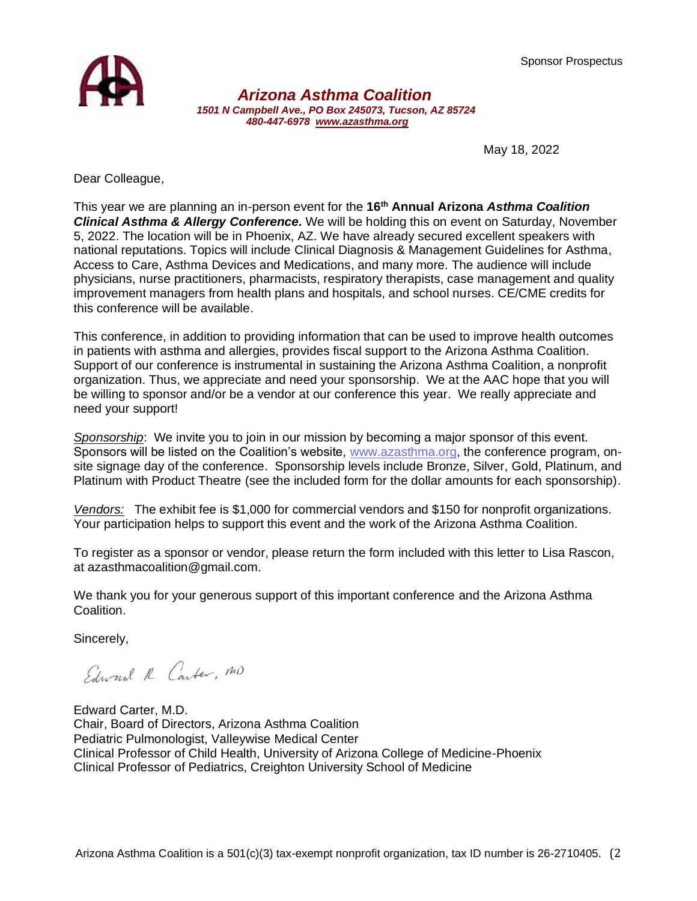Sponsor Prospectus



*Arizona Asthma Coalition 1501 N Campbell Ave., PO Box 245073, Tucson, AZ 85724 480-447-6978 [www.azasthma.org](http://www.azasthma.org/)*

May 18, 2022

Dear Colleague,

This year we are planning an in-person event for the **16 th Annual Arizona** *Asthma Coalition Clinical Asthma & Allergy Conference.* We will be holding this on event on Saturday, November 5, 2022. The location will be in Phoenix, AZ. We have already secured excellent speakers with national reputations. Topics will include Clinical Diagnosis & Management Guidelines for Asthma, Access to Care, Asthma Devices and Medications, and many more. The audience will include physicians, nurse practitioners, pharmacists, respiratory therapists, case management and quality improvement managers from health plans and hospitals, and school nurses. CE/CME credits for this conference will be available.

This conference, in addition to providing information that can be used to improve health outcomes in patients with asthma and allergies, provides fiscal support to the Arizona Asthma Coalition. Support of our conference is instrumental in sustaining the Arizona Asthma Coalition, a nonprofit organization. Thus, we appreciate and need your sponsorship. We at the AAC hope that you will be willing to sponsor and/or be a vendor at our conference this year. We really appreciate and need your support!

*Sponsorship*: We invite you to join in our mission by becoming a major sponsor of this event. Sponsors will be listed on the Coalition's website, [www.azasthma.org,](http://www.azasthma.org/) the conference program, onsite signage day of the conference. Sponsorship levels include Bronze, Silver, Gold, Platinum, and Platinum with Product Theatre (see the included form for the dollar amounts for each sponsorship).

*Vendors:* The exhibit fee is \$1,000 for commercial vendors and \$150 for nonprofit organizations. Your participation helps to support this event and the work of the Arizona Asthma Coalition.

To register as a sponsor or vendor, please return the form included with this letter to Lisa Rascon, at azasthmacoalition@gmail.com.

We thank you for your generous support of this important conference and the Arizona Asthma Coalition.

Sincerely,

Edward R Carter, MD

Edward Carter, M.D. Chair, Board of Directors, Arizona Asthma Coalition Pediatric Pulmonologist, Valleywise Medical Center Clinical Professor of Child Health, University of Arizona College of Medicine-Phoenix Clinical Professor of Pediatrics, Creighton University School of Medicine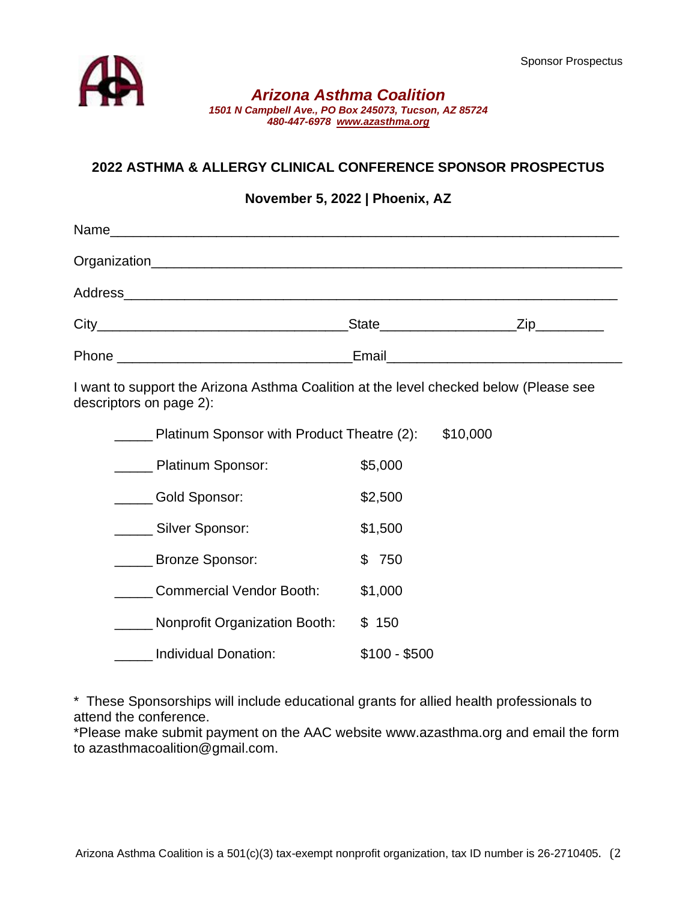

#### *Arizona Asthma Coalition 1501 N Campbell Ave., PO Box 245073, Tucson, AZ 85724 480-447-6978 [www.azasthma.org](http://www.azasthma.org/)*

# **2022 ASTHMA & ALLERGY CLINICAL CONFERENCE SPONSOR PROSPECTUS**

### **November 5, 2022 | Phoenix, AZ**

|                                                                                        | _State_______________________Zip___________ |
|----------------------------------------------------------------------------------------|---------------------------------------------|
|                                                                                        |                                             |
| I would comparable Asianne Aethore Ocalities et the Isyal shealized helpy (Dlease each |                                             |

I want to support the Arizona Asthma Coalition at the level checked below (Please see descriptors on page 2):

| \$10,000<br>Platinum Sponsor with Product Theatre (2): |               |  |
|--------------------------------------------------------|---------------|--|
| Platinum Sponsor:                                      | \$5,000       |  |
| Gold Sponsor:                                          | \$2,500       |  |
| Silver Sponsor:                                        | \$1,500       |  |
| <b>Bronze Sponsor:</b>                                 | 750<br>\$     |  |
| <b>Commercial Vendor Booth:</b>                        | \$1,000       |  |
| <b>Nonprofit Organization Booth:</b>                   | \$150         |  |
| Individual Donation:                                   | $$100 - $500$ |  |

\* These Sponsorships will include educational grants for allied health professionals to attend the conference.

\*Please make submit payment on the AAC website www.azasthma.org and email the form to azasthmacoalition@gmail.com.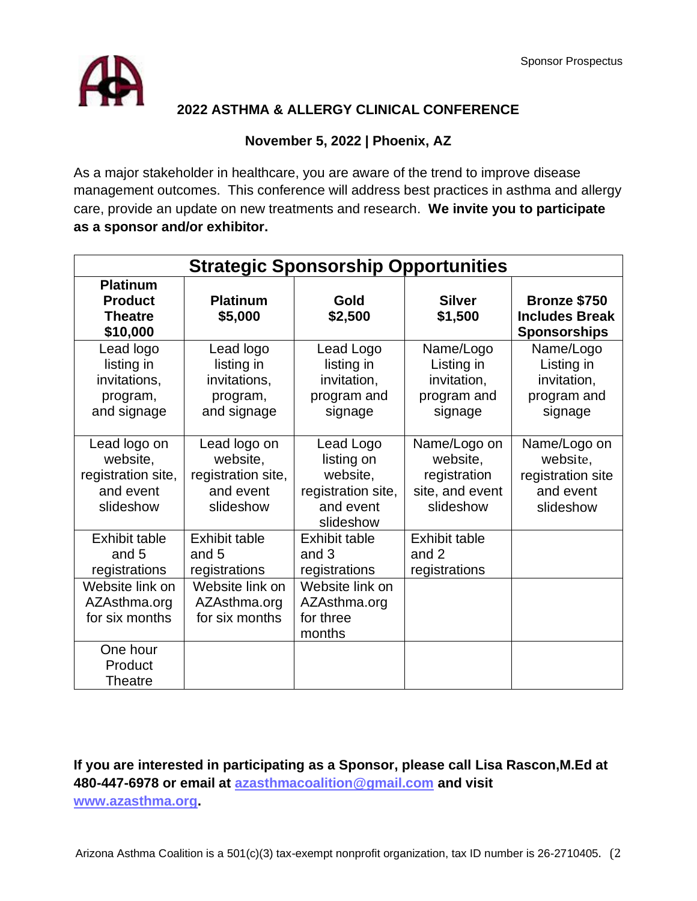

# **2022 ASTHMA & ALLERGY CLINICAL CONFERENCE**

### **November 5, 2022 | Phoenix, AZ**

As a major stakeholder in healthcare, you are aware of the trend to improve disease management outcomes. This conference will address best practices in asthma and allergy care, provide an update on new treatments and research. **We invite you to participate as a sponsor and/or exhibitor.**

| <b>Strategic Sponsorship Opportunities</b>                               |                                                                          |                                                                                     |                                                                          |                                                                         |  |  |
|--------------------------------------------------------------------------|--------------------------------------------------------------------------|-------------------------------------------------------------------------------------|--------------------------------------------------------------------------|-------------------------------------------------------------------------|--|--|
| <b>Platinum</b><br><b>Product</b><br><b>Theatre</b><br>\$10,000          | <b>Platinum</b><br>\$5,000                                               | Gold<br>\$2,500                                                                     | <b>Silver</b><br>\$1,500                                                 | Bronze \$750<br><b>Includes Break</b><br><b>Sponsorships</b>            |  |  |
| Lead logo<br>listing in<br>invitations,<br>program,<br>and signage       | Lead logo<br>listing in<br>invitations,<br>program,<br>and signage       | Lead Logo<br>listing in<br>invitation,<br>program and<br>signage                    | Name/Logo<br>Listing in<br>invitation,<br>program and<br>signage         | Name/Logo<br>Listing in<br>invitation,<br>program and<br>signage        |  |  |
| Lead logo on<br>website,<br>registration site,<br>and event<br>slideshow | Lead logo on<br>website,<br>registration site,<br>and event<br>slideshow | Lead Logo<br>listing on<br>website,<br>registration site,<br>and event<br>slideshow | Name/Logo on<br>website,<br>registration<br>site, and event<br>slideshow | Name/Logo on<br>website,<br>registration site<br>and event<br>slideshow |  |  |
| <b>Exhibit table</b><br>and 5<br>registrations                           | <b>Exhibit table</b><br>and 5<br>registrations                           | <b>Exhibit table</b><br>and $3$<br>registrations                                    | <b>Exhibit table</b><br>and 2<br>registrations                           |                                                                         |  |  |
| Website link on<br>AZAsthma.org<br>for six months                        | Website link on<br>AZAsthma.org<br>for six months                        | Website link on<br>AZAsthma.org<br>for three<br>months                              |                                                                          |                                                                         |  |  |
| One hour<br>Product<br>Theatre                                           |                                                                          |                                                                                     |                                                                          |                                                                         |  |  |

**If you are interested in participating as a Sponsor, please call Lisa Rascon,M.Ed at 480-447-6978 or email at [azasthmacoalition@gmail.com](mailto:azasthmacoalition@gmail.com) and visit [www.azasthma.org.](file:///G:/.shortcut-targets-by-id/12IxEhKjDH3_qmfftx3mqLRZ2ffGS6eZD/AAC/Events/2020%20Conference/Sponsors%20and%20Vendors/www.azasthma.org)**